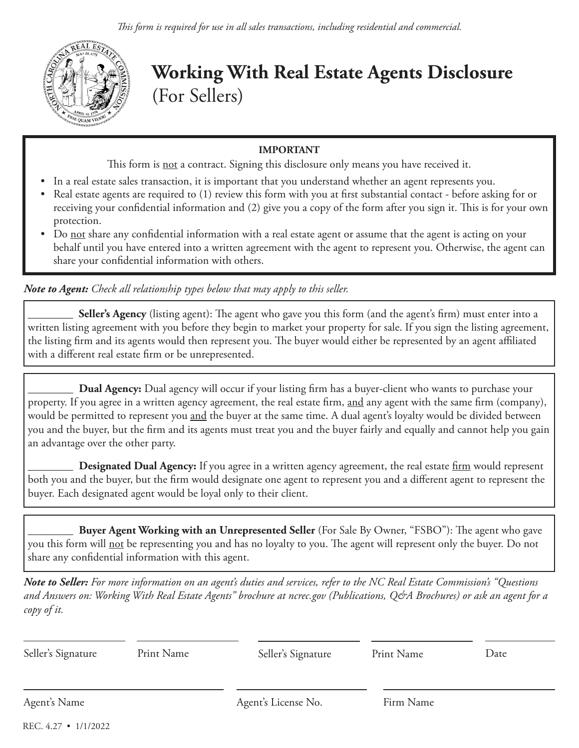

**Working With Real Estate Agents Disclosure** (For Sellers)

## **IMPORTANT**

This form is **not** a contract. Signing this disclosure only means you have received it.

- In a real estate sales transaction, it is important that you understand whether an agent represents you.
- Real estate agents are required to (1) review this form with you at first substantial contact before asking for or receiving your confidential information and (2) give you a copy of the form after you sign it. This is for your own protection.
- Do not share any confidential information with a real estate agent or assume that the agent is acting on your behalf until you have entered into a written agreement with the agent to represent you. Otherwise, the agent can share your confidential information with others.

*Note to Agent: Check all relationship types below that may apply to this seller.*

**Seller's Agency** (listing agent): The agent who gave you this form (and the agent's firm) must enter into a written listing agreement with you before they begin to market your property for sale. If you sign the listing agreement, the listing firm and its agents would then represent you. The buyer would either be represented by an agent affiliated with a different real estate firm or be unrepresented.

\_\_\_\_\_\_\_\_ **Dual Agency:** Dual agency will occur if your listing firm has a buyer-client who wants to purchase your property. If you agree in a written agency agreement, the real estate firm, and any agent with the same firm (company), would be permitted to represent you and the buyer at the same time. A dual agent's loyalty would be divided between you and the buyer, but the firm and its agents must treat you and the buyer fairly and equally and cannot help you gain an advantage over the other party.

**Designated Dual Agency:** If you agree in a written agency agreement, the real estate firm would represent both you and the buyer, but the firm would designate one agent to represent you and a different agent to represent the buyer. Each designated agent would be loyal only to their client.

\_\_\_\_\_\_\_\_ **Buyer Agent Working with an Unrepresented Seller** (For Sale By Owner, "FSBO"): The agent who gave you this form will <u>not</u> be representing you and has no loyalty to you. The agent will represent only the buyer. Do not share any confidential information with this agent.

*Note to Seller: For more information on an agent's duties and services, refer to the NC Real Estate Commission's "Questions and Answers on: Working With Real Estate Agents" brochure at ncrec.gov (Publications, Q&A Brochures) or ask an agent for a copy of it.*

| Seller's Signature   | Print Name | Seller's Signature  | Print Name | Date |
|----------------------|------------|---------------------|------------|------|
|                      |            |                     |            |      |
| Agent's Name         |            | Agent's License No. | Firm Name  |      |
| REC. 4.27 • 1/1/2022 |            |                     |            |      |